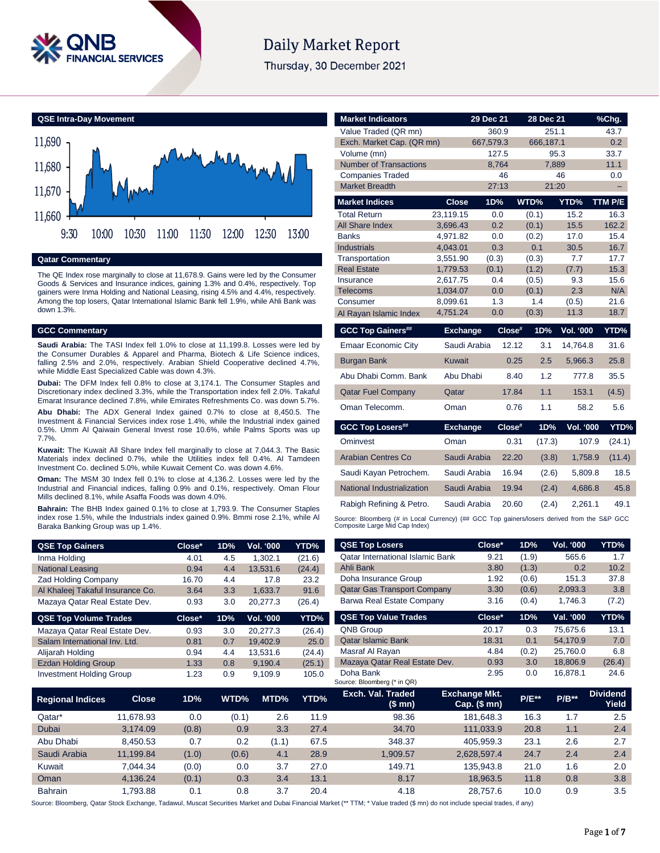

# **Daily Market Report**

Thursday, 30 December 2021



#### **Qatar Commentary**

The QE Index rose marginally to close at 11,678.9. Gains were led by the Consumer Goods & Services and Insurance indices, gaining 1.3% and 0.4%, respectively. Top gainers were Inma Holding and National Leasing, rising 4.5% and 4.4%, respectively. Among the top losers, Qatar International Islamic Bank fell 1.9%, while Ahli Bank was down 1.3%.

### **GCC Commentary**

**Saudi Arabia:** The TASI Index fell 1.0% to close at 11,199.8. Losses were led by the Consumer Durables & Apparel and Pharma, Biotech & Life Science indices, falling 2.5% and 2.0%, respectively. Arabian Shield Cooperative declined 4.7%, while Middle East Specialized Cable was down 4.3%.

**Dubai:** The DFM Index fell 0.8% to close at 3,174.1. The Consumer Staples and Discretionary index declined 3.3%, while the Transportation index fell 2.0%. Takaful Emarat Insurance declined 7.8%, while Emirates Refreshments Co. was down 5.7%.

**Abu Dhabi:** The ADX General Index gained 0.7% to close at 8,450.5. The Investment & Financial Services index rose 1.4%, while the Industrial index gained 0.5%. Umm Al Qaiwain General Invest rose 10.6%, while Palms Sports was up 7.7%.

**Kuwait:** The Kuwait All Share Index fell marginally to close at 7,044.3. The Basic Materials index declined 0.7%, while the Utilities index fell 0.4%. Al Tamdeen Investment Co. declined 5.0%, while Kuwait Cement Co. was down 4.6%.

**Oman:** The MSM 30 Index fell 0.1% to close at 4,136.2. Losses were led by the Industrial and Financial indices, falling 0.9% and 0.1%, respectively. Oman Flour Mills declined 8.1%, while Asaffa Foods was down 4.0%.

**Bahrain:** The BHB Index gained 0.1% to close at 1,793.9. The Consumer Staples index rose 1.5%, while the Industrials index gained 0.9%. Bmmi rose 2.1%, while Al Baraka Banking Group was up 1.4%.

| <b>QSE Top Gainers</b>           | Close* | 1D% | <b>Vol. '000</b> | YTD%   |
|----------------------------------|--------|-----|------------------|--------|
| Inma Holding                     | 4.01   | 4.5 | 1.302.1          | (21.6) |
| <b>National Leasing</b>          | 0.94   | 4.4 | 13.531.6         | (24.4) |
| <b>Zad Holding Company</b>       | 16.70  | 4.4 | 17.8             | 23.2   |
| Al Khaleej Takaful Insurance Co. | 3.64   | 3.3 | 1.633.7          | 91.6   |
| Mazaya Qatar Real Estate Dev.    | 0.93   | 3.0 | 20.277.3         | (26.4) |
|                                  |        |     |                  |        |
| <b>QSE Top Volume Trades</b>     | Close* | 1D% | <b>Vol. '000</b> | YTD%   |
| Mazaya Qatar Real Estate Dev.    | 0.93   | 3.0 | 20.277.3         | (26.4) |
| Salam International Inv. Ltd.    | 0.81   | 0.7 | 19.402.9         | 25.0   |
| Alijarah Holding                 | 0.94   | 4.4 | 13.531.6         | (24.4) |
| <b>Ezdan Holding Group</b>       | 1.33   | 0.8 | 9.190.4          | (25.1) |

| <b>Market Indicators</b>      |                      | 29 Dec 21  | 28 Dec 21    |                  | %Chg.       |
|-------------------------------|----------------------|------------|--------------|------------------|-------------|
| Value Traded (QR mn)          |                      | 360.9      | 251.1        |                  | 43.7        |
| Exch. Market Cap. (QR mn)     |                      | 667,579.3  | 666,187.1    |                  | 0.2         |
| Volume (mn)                   |                      | 127.5      | 95.3         |                  | 33.7        |
| <b>Number of Transactions</b> |                      | 8,764      | 7,889        |                  | 11.1        |
| <b>Companies Traded</b>       |                      | 46         |              | 46               | 0.0         |
| <b>Market Breadth</b>         |                      | 27:13      | 21:20        |                  |             |
| <b>Market Indices</b>         | <b>Close</b>         | 1D%        | WTD%         | YTD%             | TTM P/E     |
| <b>Total Return</b>           | 23,119.15            | 0.0        | (0.1)        | 15.2             | 16.3        |
| <b>All Share Index</b>        | 3,696.43             | 0.2        | (0.1)        | 15.5             | 162.2       |
| <b>Banks</b>                  | 4,971.82             | 0.0        | (0.2)        | 17.0             | 15.4        |
| <b>Industrials</b>            | 4,043.01             | 0.3        | 0.1          | 30.5             | 16.7        |
| Transportation                | 3,551.90             | (0.3)      | (0.3)        | 7.7              | 17.7        |
| <b>Real Estate</b>            | 1,779.53             | (0.1)      | (1.2)        | (7.7)            | 15.3        |
| Insurance                     | 2,617.75             | 0.4        | (0.5)        | 9.3<br>2.3       | 15.6<br>N/A |
| <b>Telecoms</b><br>Consumer   | 1,034.07<br>8,099.61 | 0.0<br>1.3 | (0.1)<br>1.4 |                  | 21.6        |
| Al Rayan Islamic Index        | 4,751.24             | 0.0        | (0.3)        | (0.5)<br>11.3    | 18.7        |
|                               |                      |            |              |                  |             |
| <b>GCC Top Gainers##</b>      | <b>Exchange</b>      | Close#     | 1D%          | Vol. '000        | YTD%        |
| <b>Emaar Economic City</b>    | Saudi Arabia         | 12.12      | 3.1          | 14,764.8         | 31.6        |
| <b>Burgan Bank</b>            | <b>Kuwait</b>        | 0.25       | 2.5          | 5,966.3          | 25.8        |
| Abu Dhabi Comm, Bank          | Abu Dhabi            | 8.40       | 1.2          | 777.8            | 35.5        |
| <b>Qatar Fuel Company</b>     | Qatar                | 17.84      | 1.1          | 153.1            | (4.5)       |
| Oman Telecomm.                | Oman                 | 0.76       | 1.1          | 58.2             | 5.6         |
| <b>GCC Top Losers##</b>       | <b>Exchange</b>      | $Close^*$  | 1D%          | <b>Vol. '000</b> | YTD%        |
| Ominvest                      | Oman                 | 0.31       | (17.3)       | 107.9            | (24.1)      |
| <b>Arabian Centres Co</b>     | Saudi Arabia         | 22.20      | (3.8)        | 1,758.9          | (11.4)      |
|                               |                      |            |              |                  |             |
|                               |                      |            |              |                  |             |
| Saudi Kayan Petrochem.        | Saudi Arabia         | 16.94      | (2.6)        | 5,809.8          | 18.5        |
| National Industrialization    | Saudi Arabia         | 19.94      | (2.4)        | 4,686.8          | 45.8        |
| Rabigh Refining & Petro.      | Saudi Arabia         | 20.60      | (2.4)        | 2,261.1          | 49.1        |

| <b>QSE Top Gainers</b>           |              | Close* | 1D%   | Vol. '000    | YTD%   | <b>QSE Top Losers</b>                                                                                                                                                      | Close*                                   | 1D%      | Vol. '000 | YTD%                     |
|----------------------------------|--------------|--------|-------|--------------|--------|----------------------------------------------------------------------------------------------------------------------------------------------------------------------------|------------------------------------------|----------|-----------|--------------------------|
| Inma Holding                     |              | 4.01   | 4.5   | 1,302.1      | (21.6) | <b>Qatar International Islamic Bank</b>                                                                                                                                    | 9.21                                     | (1.9)    | 565.6     | 1.7                      |
| <b>National Leasing</b>          |              | 0.94   | 4.4   | 13,531.6     | (24.4) | Ahli Bank                                                                                                                                                                  | 3.80                                     | (1.3)    | 0.2       | 10.2                     |
| Zad Holding Company              |              | 16.70  | 4.4   | 17.8         | 23.2   | Doha Insurance Group                                                                                                                                                       | 1.92                                     | (0.6)    | 151.3     | 37.8                     |
| Al Khaleej Takaful Insurance Co. |              | 3.64   | 3.3   | 1,633.7      | 91.6   | <b>Qatar Gas Transport Company</b>                                                                                                                                         | 3.30                                     | (0.6)    | 2,093.3   | 3.8                      |
| Mazaya Qatar Real Estate Dev.    |              | 0.93   | 3.0   | 20,277.3     | (26.4) | Barwa Real Estate Company                                                                                                                                                  | 3.16                                     | (0.4)    | 1,746.3   | (7.2)                    |
| <b>QSE Top Volume Trades</b>     |              | Close* | 1D%   | Vol. '000    | YTD%   | <b>QSE Top Value Trades</b>                                                                                                                                                | Close*                                   | 1D%      | Val. '000 | YTD%                     |
| Mazaya Qatar Real Estate Dev.    |              | 0.93   | 3.0   | 20,277.3     | (26.4) | QNB Group                                                                                                                                                                  | 20.17                                    | 0.3      | 75,675.6  | 13.1                     |
| Salam International Inv. Ltd.    |              | 0.81   | 0.7   | 19,402.9     | 25.0   | <b>Qatar Islamic Bank</b>                                                                                                                                                  | 18.31                                    | 0.1      | 54,170.9  | 7.0                      |
| Alijarah Holding                 |              | 0.94   | 4.4   | 13,531.6     | (24.4) | Masraf Al Rayan                                                                                                                                                            | 4.84                                     | (0.2)    | 25,760.0  | 6.8                      |
| <b>Ezdan Holding Group</b>       |              | 1.33   | 0.8   | 9,190.4      | (25.1) | Mazaya Qatar Real Estate Dev.<br>0.93                                                                                                                                      |                                          | 3.0      | 18,806.9  | (26.4)                   |
| <b>Investment Holding Group</b>  |              | 1.23   | 0.9   | 9,109.9      | 105.0  | Doha Bank                                                                                                                                                                  | 2.95                                     | 0.0      | 16,878.1  | 24.6                     |
|                                  |              |        |       |              |        | Source: Bloomberg (* in QR)                                                                                                                                                |                                          |          |           |                          |
| Regional Indices                 | <b>Close</b> | 1D%    | WTD%  | MTD%         | YTD%   | Exch. Val. Traded<br>(\$ mn)                                                                                                                                               | <b>Exchange Mkt.</b><br>Cap. $($$ mn $)$ | $P/E***$ | $P/B**$   | <b>Dividend</b><br>Yield |
| Qatar*                           | 11,678.93    | 0.0    | (0.1) | 2.6          | 11.9   | 98.36                                                                                                                                                                      | 181,648.3                                | 16.3     | 1.7       | 2.5                      |
| Dubai                            | 3,174.09     | (0.8)  |       | 0.9<br>3.3   | 27.4   | 34.70                                                                                                                                                                      | 111,033.9                                | 20.8     | 1.1       | 2.4                      |
| Abu Dhabi                        | 8,450.53     | 0.7    |       | 0.2<br>(1.1) | 67.5   | 348.37                                                                                                                                                                     | 405,959.3                                | 23.1     | 2.6       | 2.7                      |
| Saudi Arabia                     | 11,199.84    | (1.0)  | (0.6) | 4.1          | 28.9   | 1,909.57                                                                                                                                                                   | 2,628,597.4                              | 24.7     | 2.4       | 2.4                      |
| Kuwait                           | 7,044.34     | (0.0)  |       | 0.0<br>3.7   | 27.0   | 149.71                                                                                                                                                                     | 135,943.8                                | 21.0     | 1.6       | 2.0                      |
| Oman                             | 4,136.24     | (0.1)  |       | 0.3<br>3.4   | 13.1   | 8.17                                                                                                                                                                       | 18,963.5                                 | 11.8     | 0.8       | 3.8                      |
| <b>Bahrain</b>                   | 1,793.88     | 0.1    |       | 0.8<br>3.7   | 20.4   | 4.18                                                                                                                                                                       | 28,757.6                                 | 10.0     | 0.9       | 3.5                      |
|                                  |              |        |       |              |        | urce: Bloomberg, Oatar Stock Exchange, Tadawul, Muscat Securities Market and Dubai Einancial Market (** TTM: * Value traded (\$ mn) do not include special trades, if any) |                                          |          |           |                          |

Source: Bloomberg, Qatar Stock Exchange, Tadawul, Muscat Securities Market and Dubai Financial Mar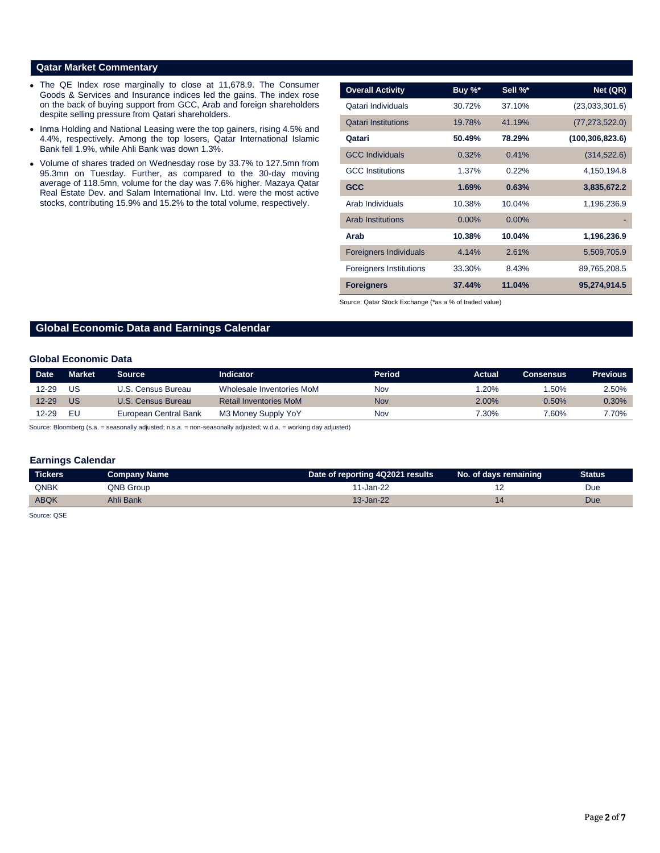## **Qatar Market Commentary**

- The QE Index rose marginally to close at 11,678.9. The Consumer Goods & Services and Insurance indices led the gains. The index rose on the back of buying support from GCC, Arab and foreign shareholders despite selling pressure from Qatari shareholders.
- Inma Holding and National Leasing were the top gainers, rising 4.5% and 4.4%, respectively. Among the top losers, Qatar International Islamic Bank fell 1.9%, while Ahli Bank was down 1.3%.
- Volume of shares traded on Wednesday rose by 33.7% to 127.5mn from 95.3mn on Tuesday. Further, as compared to the 30-day moving average of 118.5mn, volume for the day was 7.6% higher. Mazaya Qatar Real Estate Dev. and Salam International Inv. Ltd. were the most active stocks, contributing 15.9% and 15.2% to the total volume, respectively.

| <b>Overall Activity</b>        | Buy $\%^*$ | Sell %*  | Net (QR)          |
|--------------------------------|------------|----------|-------------------|
| Qatari Individuals             | 30.72%     | 37.10%   | (23,033,301.6)    |
| <b>Qatari Institutions</b>     | 19.78%     | 41.19%   | (77, 273, 522.0)  |
| Qatari                         | 50.49%     | 78.29%   | (100, 306, 823.6) |
| <b>GCC Individuals</b>         | 0.32%      | 0.41%    | (314, 522.6)      |
| <b>GCC</b> Institutions        | 1.37%      | 0.22%    | 4,150,194.8       |
| <b>GCC</b>                     | 1.69%      | 0.63%    | 3,835,672.2       |
| Arab Individuals               | 10.38%     | 10.04%   | 1,196,236.9       |
| <b>Arab Institutions</b>       | $0.00\%$   | $0.00\%$ |                   |
| Arab                           | 10.38%     | 10.04%   | 1,196,236.9       |
| <b>Foreigners Individuals</b>  | 4.14%      | 2.61%    | 5,509,705.9       |
| <b>Foreigners Institutions</b> | 33.30%     | 8.43%    | 89,765,208.5      |
| <b>Foreigners</b>              | 37.44%     | 11.04%   | 95,274,914.5      |

Source: Qatar Stock Exchange (\*as a % of traded value)

# **Global Economic Data and Earnings Calendar**

#### **Global Economic Data**

| <b>Date</b> | <b>Market</b> | Source                | Indicator                     | Period | Actual   | Consensus | <b>Previous</b> |
|-------------|---------------|-----------------------|-------------------------------|--------|----------|-----------|-----------------|
| $12 - 29$   | US            | U.S. Census Bureau    | Wholesale Inventories MoM     | Nov    | .20%     | .50%      | $2.50\%$        |
| $12 - 29$   | <b>US</b>     | U.S. Census Bureau    | <b>Retail Inventories MoM</b> | Nov    | $2.00\%$ | 0.50%     | $0.30\%$        |
| 12-29       | EL.           | European Central Bank | M3 Money Supply YoY           | Nov    | 7.30%    | 7.60%     | 7.70%           |

Source: Bloomberg (s.a. = seasonally adjusted; n.s.a. = non-seasonally adjusted; w.d.a. = working day adjusted)

### **Earnings Calendar**

| <b>Tickers</b> | Company Name | Date of reporting 4Q2021 results | No. of days remaining | Status |
|----------------|--------------|----------------------------------|-----------------------|--------|
| <b>QNBK</b>    | QNB Group    | 11-Jan-22                        |                       | Due    |
| <b>ABQK</b>    | Ahli Bank    | 13-Jan-22                        |                       | Due    |

Source: QSE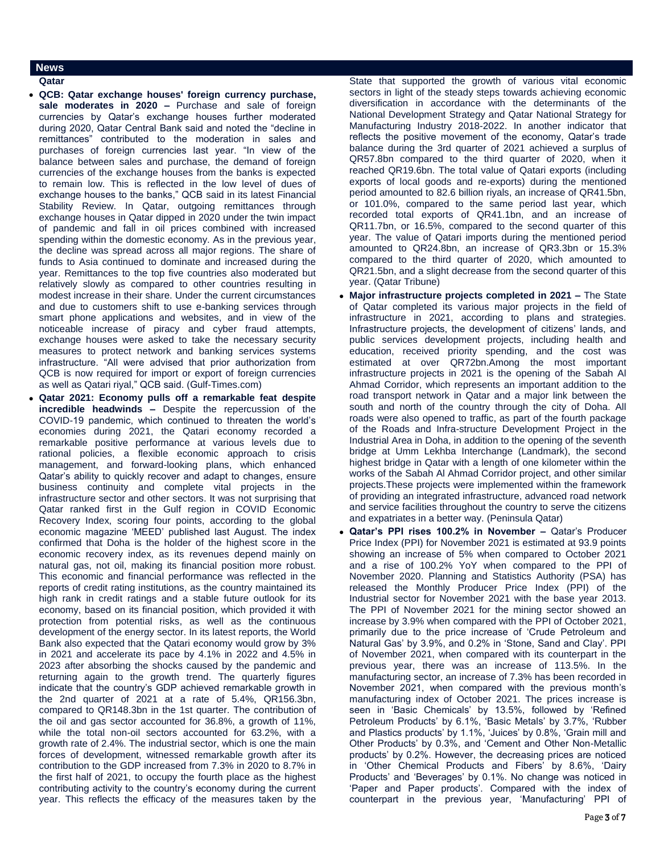# **News**

- **Qatar**
- **QCB: Qatar exchange houses' foreign currency purchase, sale moderates in 2020 –** Purchase and sale of foreign currencies by Qatar's exchange houses further moderated during 2020, Qatar Central Bank said and noted the "decline in remittances" contributed to the moderation in sales and purchases of foreign currencies last year. "In view of the balance between sales and purchase, the demand of foreign currencies of the exchange houses from the banks is expected to remain low. This is reflected in the low level of dues of exchange houses to the banks," QCB said in its latest Financial Stability Review. In Qatar, outgoing remittances through exchange houses in Qatar dipped in 2020 under the twin impact of pandemic and fall in oil prices combined with increased spending within the domestic economy. As in the previous year, the decline was spread across all major regions. The share of funds to Asia continued to dominate and increased during the year. Remittances to the top five countries also moderated but relatively slowly as compared to other countries resulting in modest increase in their share. Under the current circumstances and due to customers shift to use e-banking services through smart phone applications and websites, and in view of the noticeable increase of piracy and cyber fraud attempts, exchange houses were asked to take the necessary security measures to protect network and banking services systems infrastructure. "All were advised that prior authorization from QCB is now required for import or export of foreign currencies as well as Qatari riyal," QCB said. (Gulf-Times.com)
- **Qatar 2021: Economy pulls off a remarkable feat despite incredible headwinds –** Despite the repercussion of the COVID-19 pandemic, which continued to threaten the world's economies during 2021, the Qatari economy recorded a remarkable positive performance at various levels due to rational policies, a flexible economic approach to crisis management, and forward-looking plans, which enhanced Qatar's ability to quickly recover and adapt to changes, ensure business continuity and complete vital projects in the infrastructure sector and other sectors. It was not surprising that Qatar ranked first in the Gulf region in COVID Economic Recovery Index, scoring four points, according to the global economic magazine 'MEED' published last August. The index confirmed that Doha is the holder of the highest score in the economic recovery index, as its revenues depend mainly on natural gas, not oil, making its financial position more robust. This economic and financial performance was reflected in the reports of credit rating institutions, as the country maintained its high rank in credit ratings and a stable future outlook for its economy, based on its financial position, which provided it with protection from potential risks, as well as the continuous development of the energy sector. In its latest reports, the World Bank also expected that the Qatari economy would grow by 3% in 2021 and accelerate its pace by 4.1% in 2022 and 4.5% in 2023 after absorbing the shocks caused by the pandemic and returning again to the growth trend. The quarterly figures indicate that the country's GDP achieved remarkable growth in the 2nd quarter of 2021 at a rate of 5.4%, QR156.3bn, compared to QR148.3bn in the 1st quarter. The contribution of the oil and gas sector accounted for 36.8%, a growth of 11%, while the total non-oil sectors accounted for 63.2%, with a growth rate of 2.4%. The industrial sector, which is one the main forces of development, witnessed remarkable growth after its contribution to the GDP increased from 7.3% in 2020 to 8.7% in the first half of 2021, to occupy the fourth place as the highest contributing activity to the country's economy during the current year. This reflects the efficacy of the measures taken by the

State that supported the growth of various vital economic sectors in light of the steady steps towards achieving economic diversification in accordance with the determinants of the National Development Strategy and Qatar National Strategy for Manufacturing Industry 2018-2022. In another indicator that reflects the positive movement of the economy, Qatar's trade balance during the 3rd quarter of 2021 achieved a surplus of QR57.8bn compared to the third quarter of 2020, when it reached QR19.6bn. The total value of Qatari exports (including exports of local goods and re-exports) during the mentioned period amounted to 82.6 billion riyals, an increase of QR41.5bn, or 101.0%, compared to the same period last year, which recorded total exports of QR41.1bn, and an increase of QR11.7bn, or 16.5%, compared to the second quarter of this year. The value of Qatari imports during the mentioned period amounted to QR24.8bn, an increase of QR3.3bn or 15.3% compared to the third quarter of 2020, which amounted to QR21.5bn, and a slight decrease from the second quarter of this year. (Qatar Tribune)

- **Major infrastructure projects completed in 2021 –** The State of Qatar completed its various major projects in the field of infrastructure in 2021, according to plans and strategies. Infrastructure projects, the development of citizens' lands, and public services development projects, including health and education, received priority spending, and the cost was estimated at over QR72bn.Among the most important infrastructure projects in 2021 is the opening of the Sabah Al Ahmad Corridor, which represents an important addition to the road transport network in Qatar and a major link between the south and north of the country through the city of Doha. All roads were also opened to traffic, as part of the fourth package of the Roads and Infra-structure Development Project in the Industrial Area in Doha, in addition to the opening of the seventh bridge at Umm Lekhba Interchange (Landmark), the second highest bridge in Qatar with a length of one kilometer within the works of the Sabah Al Ahmad Corridor project, and other similar projects.These projects were implemented within the framework of providing an integrated infrastructure, advanced road network and service facilities throughout the country to serve the citizens and expatriates in a better way. (Peninsula Qatar)
- **Qatar's PPI rises 100.2% in November –** Qatar's Producer Price Index (PPI) for November 2021 is estimated at 93.9 points showing an increase of 5% when compared to October 2021 and a rise of 100.2% YoY when compared to the PPI of November 2020. Planning and Statistics Authority (PSA) has released the Monthly Producer Price Index (PPI) of the Industrial sector for November 2021 with the base year 2013. The PPI of November 2021 for the mining sector showed an increase by 3.9% when compared with the PPI of October 2021, primarily due to the price increase of 'Crude Petroleum and Natural Gas' by 3.9%, and 0.2% in 'Stone, Sand and Clay'. PPI of November 2021, when compared with its counterpart in the previous year, there was an increase of 113.5%. In the manufacturing sector, an increase of 7.3% has been recorded in November 2021, when compared with the previous month's manufacturing index of October 2021. The prices increase is seen in 'Basic Chemicals' by 13.5%, followed by 'Refined Petroleum Products' by 6.1%, 'Basic Metals' by 3.7%, 'Rubber and Plastics products' by 1.1%, 'Juices' by 0.8%, 'Grain mill and Other Products' by 0.3%, and 'Cement and Other Non-Metallic products' by 0.2%. However, the decreasing prices are noticed in 'Other Chemical Products and Fibers' by 8.6%, 'Dairy Products' and 'Beverages' by 0.1%. No change was noticed in 'Paper and Paper products'. Compared with the index of counterpart in the previous year, 'Manufacturing' PPI of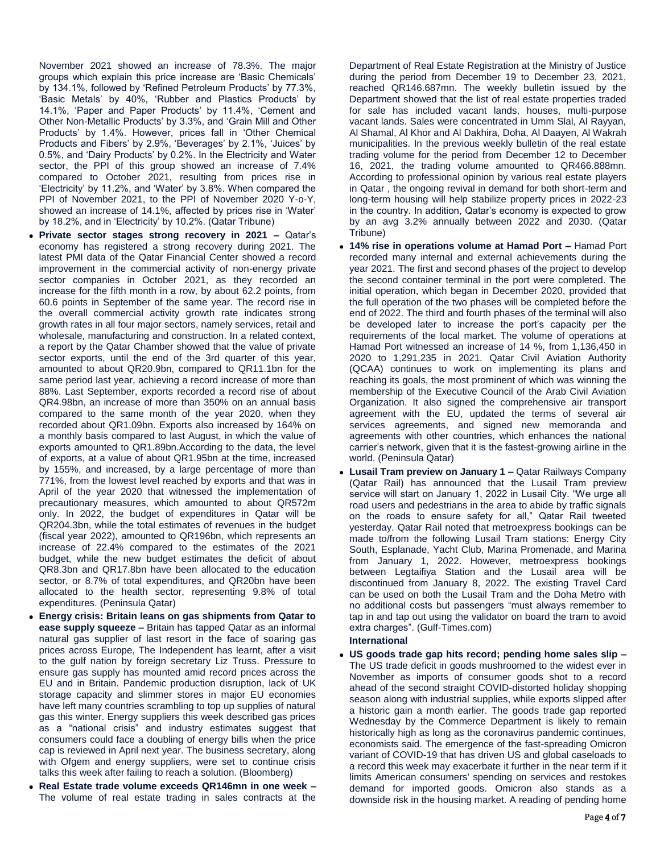November 2021 showed an increase of 78.3%. The major groups which explain this price increase are 'Basic Chemicals' by 134.1%, followed by 'Refined Petroleum Products' by 77.3%, 'Basic Metals' by 40%, 'Rubber and Plastics Products' by 14.1%, 'Paper and Paper Products' by 11.4%, 'Cement and Other Non-Metallic Products' by 3.3%, and 'Grain Mill and Other Products' by 1.4%. However, prices fall in 'Other Chemical Products and Fibers' by 2.9%, 'Beverages' by 2.1%, 'Juices' by 0.5%, and 'Dairy Products' by 0.2%. In the Electricity and Water sector, the PPI of this group showed an increase of 7.4% compared to October 2021, resulting from prices rise in 'Electricity' by 11.2%, and 'Water' by 3.8%. When compared the PPI of November 2021, to the PPI of November 2020 Y-o-Y, showed an increase of 14.1%, affected by prices rise in 'Water' by 18.2%, and in 'Electricity' by 10.2%. (Qatar Tribune)

- **Private sector stages strong recovery in 2021 –** Qatar's economy has registered a strong recovery during 2021. The latest PMI data of the Qatar Financial Center showed a record improvement in the commercial activity of non-energy private sector companies in October 2021, as they recorded an increase for the fifth month in a row, by about 62.2 points, from 60.6 points in September of the same year. The record rise in the overall commercial activity growth rate indicates strong growth rates in all four major sectors, namely services, retail and wholesale, manufacturing and construction. In a related context, a report by the Qatar Chamber showed that the value of private sector exports, until the end of the 3rd quarter of this year, amounted to about QR20.9bn, compared to QR11.1bn for the same period last year, achieving a record increase of more than 88%. Last September, exports recorded a record rise of about QR4.98bn, an increase of more than 350% on an annual basis compared to the same month of the year 2020, when they recorded about QR1.09bn. Exports also increased by 164% on a monthly basis compared to last August, in which the value of exports amounted to QR1.89bn.According to the data, the level of exports, at a value of about QR1.95bn at the time, increased by 155%, and increased, by a large percentage of more than 771%, from the lowest level reached by exports and that was in April of the year 2020 that witnessed the implementation of precautionary measures, which amounted to about QR572m only. In 2022, the budget of expenditures in Qatar will be QR204.3bn, while the total estimates of revenues in the budget (fiscal year 2022), amounted to QR196bn, which represents an increase of 22.4% compared to the estimates of the 2021 budget, while the new budget estimates the deficit of about QR8.3bn and QR17.8bn have been allocated to the education sector, or 8.7% of total expenditures, and QR20bn have been allocated to the health sector, representing 9.8% of total expenditures. (Peninsula Qatar)
- **Energy crisis: Britain leans on gas shipments from Qatar to ease supply squeeze –** Britain has tapped Qatar as an informal natural gas supplier of last resort in the face of soaring gas prices across Europe, The Independent has learnt, after a visit to the gulf nation by foreign secretary Liz Truss. Pressure to ensure gas supply has mounted amid record prices across the EU and in Britain. Pandemic production disruption, lack of UK storage capacity and slimmer stores in major EU economies have left many countries scrambling to top up supplies of natural gas this winter. Energy suppliers this week described gas prices as a "national crisis" and industry estimates suggest that consumers could face a doubling of energy bills when the price cap is reviewed in April next year. The business secretary, along with Ofgem and energy suppliers, were set to continue crisis talks this week after failing to reach a solution. (Bloomberg)
- **Real Estate trade volume exceeds QR146mn in one week –** The volume of real estate trading in sales contracts at the

Department of Real Estate Registration at the Ministry of Justice during the period from December 19 to December 23, 2021, reached QR146.687mn. The weekly bulletin issued by the Department showed that the list of real estate properties traded for sale has included vacant lands, houses, multi-purpose vacant lands. Sales were concentrated in Umm Slal, Al Rayyan, Al Shamal, Al Khor and Al Dakhira, Doha, Al Daayen, Al Wakrah municipalities. In the previous weekly bulletin of the real estate trading volume for the period from December 12 to December 16, 2021, the trading volume amounted to QR466.888mn. According to professional opinion by various real estate players in Qatar , the ongoing revival in demand for both short-term and long-term housing will help stabilize property prices in 2022-23 in the country. In addition, Qatar's economy is expected to grow by an avg 3.2% annually between 2022 and 2030. (Qatar Tribune)

- **14% rise in operations volume at Hamad Port –** Hamad Port recorded many internal and external achievements during the year 2021. The first and second phases of the project to develop the second container terminal in the port were completed. The initial operation, which began in December 2020, provided that the full operation of the two phases will be completed before the end of 2022. The third and fourth phases of the terminal will also be developed later to increase the port's capacity per the requirements of the local market. The volume of operations at Hamad Port witnessed an increase of 14 %, from 1,136,450 in 2020 to 1,291,235 in 2021. Qatar Civil Aviation Authority (QCAA) continues to work on implementing its plans and reaching its goals, the most prominent of which was winning the membership of the Executive Council of the Arab Civil Aviation Organization. It also signed the comprehensive air transport agreement with the EU, updated the terms of several air services agreements, and signed new memoranda and agreements with other countries, which enhances the national carrier's network, given that it is the fastest-growing airline in the world. (Peninsula Qatar)
- **Lusail Tram preview on January 1 –** Qatar Railways Company (Qatar Rail) has announced that the Lusail Tram preview service will start on January 1, 2022 in Lusail City. "We urge all road users and pedestrians in the area to abide by traffic signals on the roads to ensure safety for all," Qatar Rail tweeted yesterday. Qatar Rail noted that metroexpress bookings can be made to/from the following Lusail Tram stations: Energy City South, Esplanade, Yacht Club, Marina Promenade, and Marina from January 1, 2022. However, metroexpress bookings between Legtaifiya Station and the Lusail area will be discontinued from January 8, 2022. The existing Travel Card can be used on both the Lusail Tram and the Doha Metro with no additional costs but passengers "must always remember to tap in and tap out using the validator on board the tram to avoid extra charges". (Gulf-Times.com)

### **International**

 **US goods trade gap hits record; pending home sales slip –** The US trade deficit in goods mushroomed to the widest ever in November as imports of consumer goods shot to a record ahead of the second straight COVID-distorted holiday shopping season along with industrial supplies, while exports slipped after a historic gain a month earlier. The goods trade gap reported Wednesday by the Commerce Department is likely to remain historically high as long as the coronavirus pandemic continues, economists said. The emergence of the fast-spreading Omicron variant of COVID-19 that has driven US and global caseloads to a record this week may exacerbate it further in the near term if it limits American consumers' spending on services and restokes demand for imported goods. Omicron also stands as a downside risk in the housing market. A reading of pending home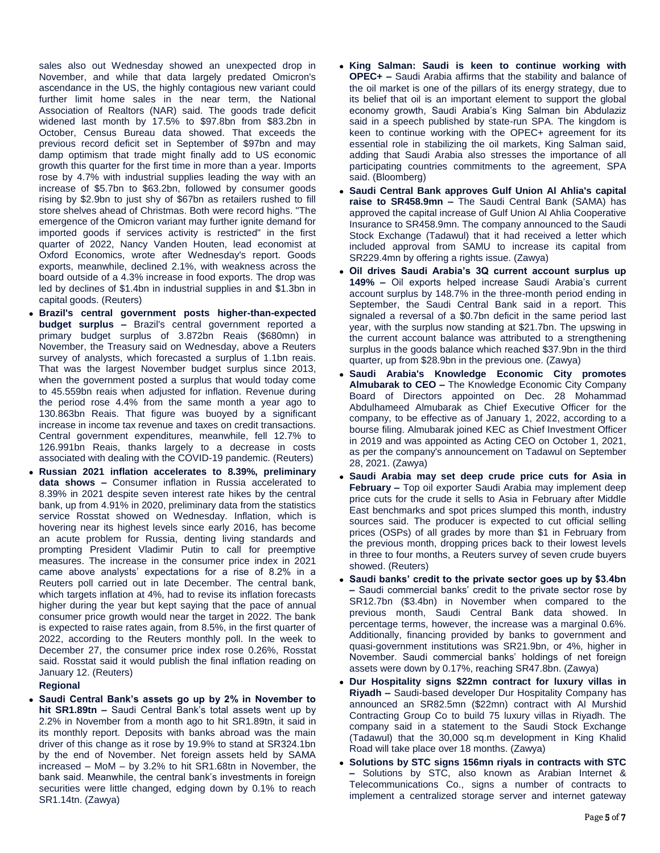sales also out Wednesday showed an unexpected drop in November, and while that data largely predated Omicron's ascendance in the US, the highly contagious new variant could further limit home sales in the near term, the National Association of Realtors (NAR) said. The goods trade deficit widened last month by 17.5% to \$97.8bn from \$83.2bn in October, Census Bureau data showed. That exceeds the previous record deficit set in September of \$97bn and may damp optimism that trade might finally add to US economic growth this quarter for the first time in more than a year. Imports rose by 4.7% with industrial supplies leading the way with an increase of \$5.7bn to \$63.2bn, followed by consumer goods rising by \$2.9bn to just shy of \$67bn as retailers rushed to fill store shelves ahead of Christmas. Both were record highs. "The emergence of the Omicron variant may further ignite demand for imported goods if services activity is restricted" in the first quarter of 2022, Nancy Vanden Houten, lead economist at Oxford Economics, wrote after Wednesday's report. Goods exports, meanwhile, declined 2.1%, with weakness across the board outside of a 4.3% increase in food exports. The drop was led by declines of \$1.4bn in industrial supplies in and \$1.3bn in capital goods. (Reuters)

- **Brazil's central government posts higher-than-expected budget surplus –** Brazil's central government reported a primary budget surplus of 3.872bn Reais (\$680mn) in November, the Treasury said on Wednesday, above a Reuters survey of analysts, which forecasted a surplus of 1.1bn reais. That was the largest November budget surplus since 2013, when the government posted a surplus that would today come to 45.559bn reais when adjusted for inflation. Revenue during the period rose 4.4% from the same month a year ago to 130.863bn Reais. That figure was buoyed by a significant increase in income tax revenue and taxes on credit transactions. Central government expenditures, meanwhile, fell 12.7% to 126.991bn Reais, thanks largely to a decrease in costs associated with dealing with the COVID-19 pandemic. (Reuters)
- **Russian 2021 inflation accelerates to 8.39%, preliminary data shows –** Consumer inflation in Russia accelerated to 8.39% in 2021 despite seven interest rate hikes by the central bank, up from 4.91% in 2020, preliminary data from the statistics service Rosstat showed on Wednesday. Inflation, which is hovering near its highest levels since early 2016, has become an acute problem for Russia, denting living standards and prompting President Vladimir Putin to call for preemptive measures. The increase in the consumer price index in 2021 came above analysts' expectations for a rise of 8.2% in a Reuters poll carried out in late December. The central bank, which targets inflation at 4%, had to revise its inflation forecasts higher during the year but kept saying that the pace of annual consumer price growth would near the target in 2022. The bank is expected to raise rates again, from 8.5%, in the first quarter of 2022, according to the Reuters monthly poll. In the week to December 27, the consumer price index rose 0.26%, Rosstat said. Rosstat said it would publish the final inflation reading on January 12. (Reuters)

# **Regional**

 **Saudi Central Bank's assets go up by 2% in November to hit SR1.89tn –** Saudi Central Bank's total assets went up by 2.2% in November from a month ago to hit SR1.89tn, it said in its monthly report. Deposits with banks abroad was the main driver of this change as it rose by 19.9% to stand at SR324.1bn by the end of November. Net foreign assets held by SAMA increased – MoM – by 3.2% to hit SR1.68tn in November, the bank said. Meanwhile, the central bank's investments in foreign securities were little changed, edging down by 0.1% to reach SR1.14tn. (Zawya)

- **King Salman: Saudi is keen to continue working with OPEC+ –** Saudi Arabia affirms that the stability and balance of the oil market is one of the pillars of its energy strategy, due to its belief that oil is an important element to support the global economy growth, Saudi Arabia's King Salman bin Abdulaziz said in a speech published by state-run SPA. The kingdom is keen to continue working with the OPEC+ agreement for its essential role in stabilizing the oil markets, King Salman said, adding that Saudi Arabia also stresses the importance of all participating countries commitments to the agreement, SPA said. (Bloomberg)
- **Saudi Central Bank approves Gulf Union Al Ahlia's capital raise to SR458.9mn –** The Saudi Central Bank (SAMA) has approved the capital increase of Gulf Union Al Ahlia Cooperative Insurance to SR458.9mn. The company announced to the Saudi Stock Exchange (Tadawul) that it had received a letter which included approval from SAMU to increase its capital from SR229.4mn by offering a rights issue. (Zawya)
- **Oil drives Saudi Arabia's 3Q current account surplus up 149% –** Oil exports helped increase Saudi Arabia's current account surplus by 148.7% in the three-month period ending in September, the Saudi Central Bank said in a report. This signaled a reversal of a \$0.7bn deficit in the same period last year, with the surplus now standing at \$21.7bn. The upswing in the current account balance was attributed to a strengthening surplus in the goods balance which reached \$37.9bn in the third quarter, up from \$28.9bn in the previous one. (Zawya)
- **Saudi Arabia's Knowledge Economic City promotes Almubarak to CEO –** The Knowledge Economic City Company Board of Directors appointed on Dec. 28 Mohammad Abdulhameed Almubarak as Chief Executive Officer for the company, to be effective as of January 1, 2022, according to a bourse filing. Almubarak joined KEC as Chief Investment Officer in 2019 and was appointed as Acting CEO on October 1, 2021, as per the company's announcement on Tadawul on September 28, 2021. (Zawya)
- **Saudi Arabia may set deep crude price cuts for Asia in February –** Top oil exporter Saudi Arabia may implement deep price cuts for the crude it sells to Asia in February after Middle East benchmarks and spot prices slumped this month, industry sources said. The producer is expected to cut official selling prices (OSPs) of all grades by more than \$1 in February from the previous month, dropping prices back to their lowest levels in three to four months, a Reuters survey of seven crude buyers showed. (Reuters)
- **Saudi banks' credit to the private sector goes up by \$3.4bn –** Saudi commercial banks' credit to the private sector rose by SR12.7bn (\$3.4bn) in November when compared to the previous month, Saudi Central Bank data showed. In percentage terms, however, the increase was a marginal 0.6%. Additionally, financing provided by banks to government and quasi-government institutions was SR21.9bn, or 4%, higher in November. Saudi commercial banks' holdings of net foreign assets were down by 0.17%, reaching SR47.8bn. (Zawya)
- **Dur Hospitality signs \$22mn contract for luxury villas in Riyadh –** Saudi-based developer Dur Hospitality Company has announced an SR82.5mn (\$22mn) contract with Al Murshid Contracting Group Co to build 75 luxury villas in Riyadh. The company said in a statement to the Saudi Stock Exchange (Tadawul) that the 30,000 sq.m development in King Khalid Road will take place over 18 months. (Zawya)
- **Solutions by STC signs 156mn riyals in contracts with STC –** Solutions by STC, also known as Arabian Internet & Telecommunications Co., signs a number of contracts to implement a centralized storage server and internet gateway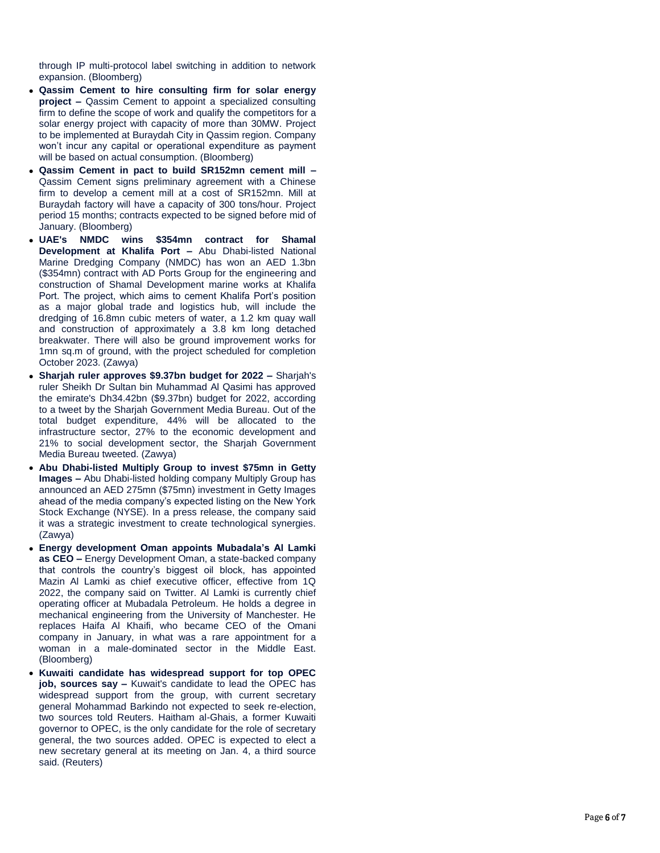through IP multi -protocol label switching in addition to network expansion. (Bloomberg)

- **Qassim Cement to hire consulting firm for solar energy project –** Qassim Cement to appoint a specialized consulting firm to define the scope of work and qualify the competitors for a solar energy project with capacity of more than 30MW. Project to be implemented at Buraydah City in Qassim region. Company won't incur any capital or operational expenditure as payment will be based on actual consumption. (Bloomberg)
- **Qassim Cement in pact to build SR152mn cement mill –** Qassim Cement signs preliminary agreement with a Chinese firm to develop a cement mill at a cost of SR152mn. Mill at Buraydah factory will have a capacity of 300 tons/hour. Project period 15 months; contracts expected to be signed before mid of January. (Bloomberg)
- **UAE's NMDC wins \$354mn contract for Shamal Development at Khalifa Port - Abu Dhabi-listed National** Marine Dredging Company (NMDC) has won an AED 1.3bn (\$354mn) contract with AD Ports Group for the engineering and construction of Shamal Development marine works at Khalifa Port. The project, which aims to cement Khalifa Port's position as a major global trade and logistics hub, will include the dredging of 16.8mn cubic meters of water, a 1.2 km quay wall and construction of approximately a 3.8 km long detached breakwater. There will also be ground improvement works for 1mn sq.m of ground, with the project scheduled for completion October 2023. (Zawya)
- **Sharjah ruler approves \$9.37bn budget for 2022 –** Sharjah's ruler Sheikh Dr Sultan bin Muhammad Al Qasimi has approved the emirate's Dh34.42bn (\$9.37bn) budget for 2022, according to a tweet by the Sharjah Government Media Bureau. Out of the total budget expenditure, 44% will be allocated to the infrastructure sector, 27% to the economic development and 21% to social development sector, the Sharjah Government Media Bureau tweeted. (Zawya)
- **Abu Dhabi-listed Multiply Group to invest \$75mn in Getty** Images - Abu Dhabi-listed holding company Multiply Group has announced an AED 275mn (\$75mn) investment in Getty Images ahead of the media company's expected listing on the New York Stock Exchange (NYSE). In a press release, the company said it was a strategic investment to create technological synergies. (Zawya)
- **Energy development Oman appoints Mubadala's Al Lamki as CEO –** Energy Development Oman, a state -backed company that controls the country's biggest oil block, has appointed Mazin Al Lamki as chief executive officer, effective from 1Q 2022, the company said on Twitter. Al Lamki is currently chief operating officer at Mubadala Petroleum. He holds a degree in mechanical engineering from the University of Manchester. He replaces Haifa Al Khaifi, who became CEO of the Omani company in January, in what was a rare appointment for a woman in a male -dominated sector in the Middle East. (Bloomberg)
- **Kuwaiti candidate has widespread support for top OPEC job, sources say -** Kuwait's candidate to lead the OPEC has widespread support from the group, with current secretary general Mohammad Barkindo not expected to seek re -election, two sources told Reuters. Haitham al -Ghais, a former Kuwaiti governor to OPEC, is the only candidate for the role of secretary general, the two sources added. OPEC is expected to elect a new secretary general at its meeting on Jan. 4, a third source said. (Reuters)